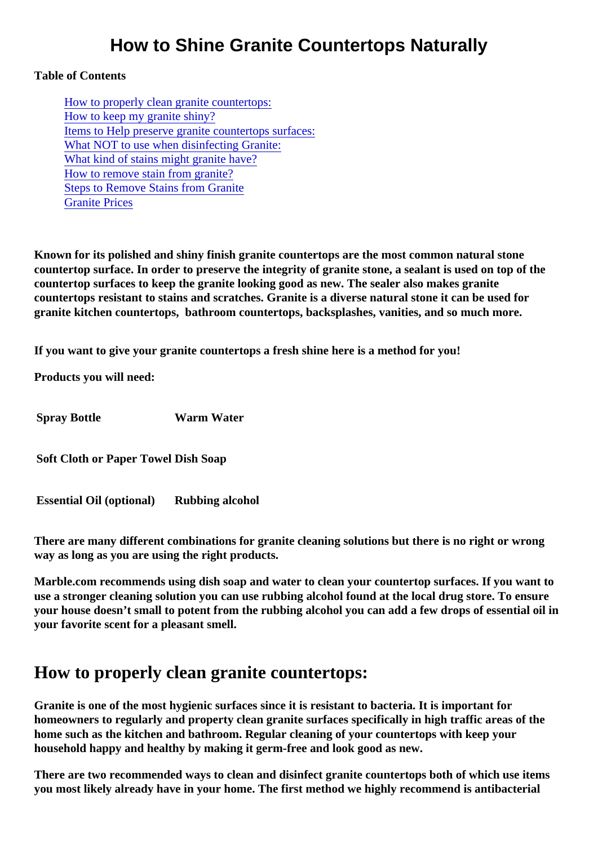## How to Shine Granite Countertops Naturally

#### Table of Contents

How to properly clean granite countertops: [How to keep my granite shin](#page-1-0)y? [Items to Help preserve granite countertops surf](#page-1-0)aces: [What NOT to use when disinfecting Gran](#page-1-0)ite: [What kind of stains might granite hav](#page-1-0)e? [How to remove stain from granit](#page-2-0)e? Steps to Remove Stains from Granite [Granite Price](#page-2-0)s

Known for its polished and shiny finish granite countertops are the most common natural stone countertop surface. In order to preserve the integrity of granite stone, a sealant is used on top of the countertop surfaces to keep the granite looking good as new. The sealer also makes granite countertops resistant to stains and scratches. Granite is a diverse natural stone it can be used for granite kitchen countertops, bathroom countertops, backsplashes, vanities, and so much more.

If you want to give your granite countertops a fresh shine here is a method for you!

Products you will need:

Spray Bottle Warm Water

Soft Cloth or Paper TowelDish Soap

Essential Oil (optional) Rubbing alcohol

There are many different combinations for granite cleaning solutions but there is no right or wrong way as long as you are using the right products.

Marble.com recommends using dish soap and water to clean your countertop surfaces. If you want to use a stronger cleaning solution you can use rubbing alcohol found at the local drug store. To ensure your house doesn't small to potent from the rubbing alcohol you can add a few drops of essential oil in your favorite scent for a pleasant smell.

## How to properly clean granite countertops:

Granite is one of the most hygienic surfaces since it is resistant to bacteria. It is important for homeowners to regularly and property clean granite surfaces specifically in high traffic areas of the home such as the kitchen and bathroom. Regular cleaning of your countertops with keep your household happy and healthy by making it germ-free and look good as new.

There are two recommended ways to clean and disinfect granite countertops both of which use items you most likely already have in your home. The first method we highly recommend is antibacterial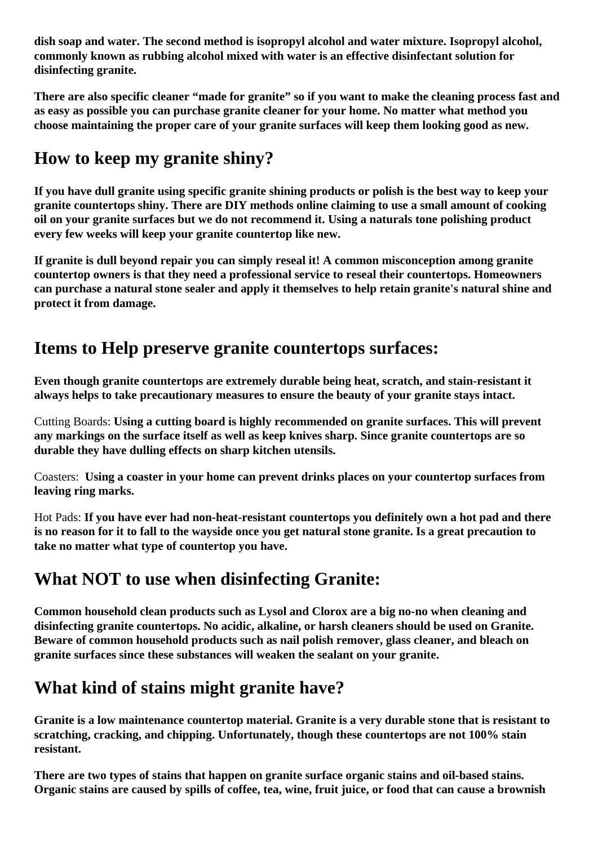<span id="page-1-0"></span>**dish soap and water. The second method is isopropyl alcohol and water mixture. Isopropyl alcohol, commonly known as rubbing alcohol mixed with water is an effective disinfectant solution for disinfecting granite.**

**There are also specific cleaner "made for granite" so if you want to make the cleaning process fast and as easy as possible you can purchase granite cleaner for your home. No matter what method you choose maintaining the proper care of your granite surfaces will keep them looking good as new.**

## **How to keep my granite shiny?**

**If you have dull granite using specific granite shining products or polish is the best way to keep your granite countertops shiny. There are DIY methods online claiming to use a small amount of cooking oil on your granite surfaces but we do not recommend it. Using a naturals tone polishing product every few weeks will keep your granite countertop like new.**

**If granite is dull beyond repair you can simply reseal it! A common misconception among granite countertop owners is that they need a professional service to reseal their countertops. Homeowners can purchase a natural stone sealer and apply it themselves to help retain granite's natural shine and protect it from damage.**

## **Items to Help preserve granite countertops surfaces:**

**Even though granite countertops are extremely durable being heat, scratch, and stain-resistant it always helps to take precautionary measures to ensure the beauty of your granite stays intact.** 

Cutting Boards: **Using a cutting board is highly recommended on granite surfaces. This will prevent any markings on the surface itself as well as keep knives sharp. Since granite countertops are so durable they have dulling effects on sharp kitchen utensils.** 

Coasters: **Using a coaster in your home can prevent drinks places on your countertop surfaces from leaving ring marks.** 

Hot Pads: **If you have ever had non-heat-resistant countertops you definitely own a hot pad and there is no reason for it to fall to the wayside once you get natural stone granite. Is a great precaution to take no matter what type of countertop you have.**

## **What NOT to use when disinfecting Granite:**

**Common household clean products such as Lysol and Clorox are a big no-no when cleaning and disinfecting granite countertops. No acidic, alkaline, or harsh cleaners should be used on Granite. Beware of common household products such as nail polish remover, glass cleaner, and bleach on granite surfaces since these substances will weaken the sealant on your granite.** 

# **What kind of stains might granite have?**

**Granite is a low maintenance countertop material. Granite is a very durable stone that is resistant to scratching, cracking, and chipping. Unfortunately, though these countertops are not 100% stain resistant.**

**There are two types of stains that happen on granite surface organic stains and oil-based stains. Organic stains are caused by spills of coffee, tea, wine, fruit juice, or food that can cause a brownish**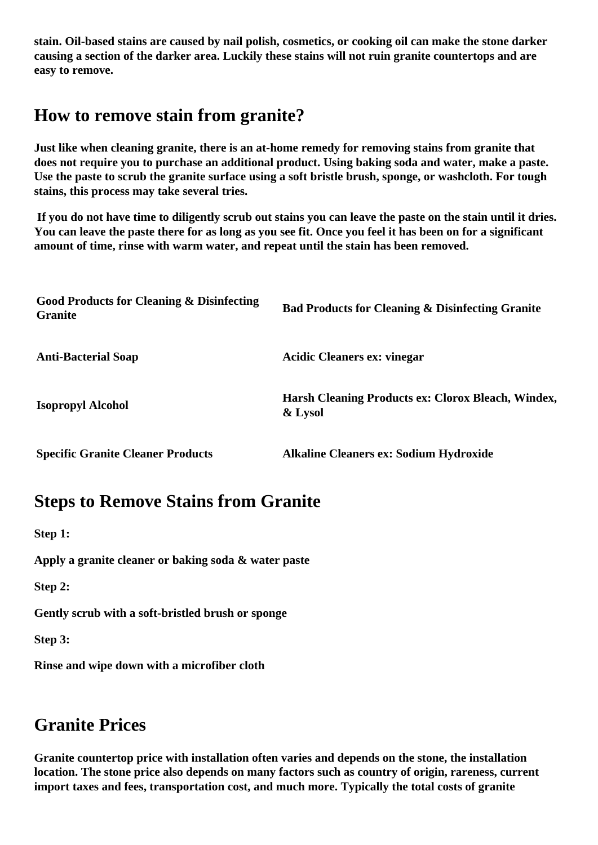<span id="page-2-0"></span>**stain. Oil-based stains are caused by nail polish, cosmetics, or cooking oil can make the stone darker causing a section of the darker area. Luckily these stains will not ruin granite countertops and are easy to remove.**

## **How to remove stain from granite?**

**Just like when cleaning granite, there is an at-home remedy for removing stains from granite that does not require you to purchase an additional product. Using baking soda and water, make a paste. Use the paste to scrub the granite surface using a soft bristle brush, sponge, or washcloth. For tough stains, this process may take several tries.**

 **If you do not have time to diligently scrub out stains you can leave the paste on the stain until it dries. You can leave the paste there for as long as you see fit. Once you feel it has been on for a significant amount of time, rinse with warm water, and repeat until the stain has been removed.**

| <b>Good Products for Cleaning &amp; Disinfecting</b><br><b>Granite</b> | <b>Bad Products for Cleaning &amp; Disinfecting Granite</b>   |
|------------------------------------------------------------------------|---------------------------------------------------------------|
| <b>Anti-Bacterial Soap</b>                                             | <b>Acidic Cleaners ex: vinegar</b>                            |
| <b>Isopropyl Alcohol</b>                                               | Harsh Cleaning Products ex: Clorox Bleach, Windex,<br>& Lysol |
| <b>Specific Granite Cleaner Products</b>                               | <b>Alkaline Cleaners ex: Sodium Hydroxide</b>                 |

## **Steps to Remove Stains from Granite**

**Step 1:**

**Apply a granite cleaner or baking soda & water paste**

**Step 2:**

**Gently scrub with a soft-bristled brush or sponge**

**Step 3:**

**Rinse and wipe down with a microfiber cloth**

## **Granite Prices**

**Granite countertop price with installation often varies and depends on the stone, the installation location. The stone price also depends on many factors such as country of origin, rareness, current import taxes and fees, transportation cost, and much more. Typically the total costs of granite**